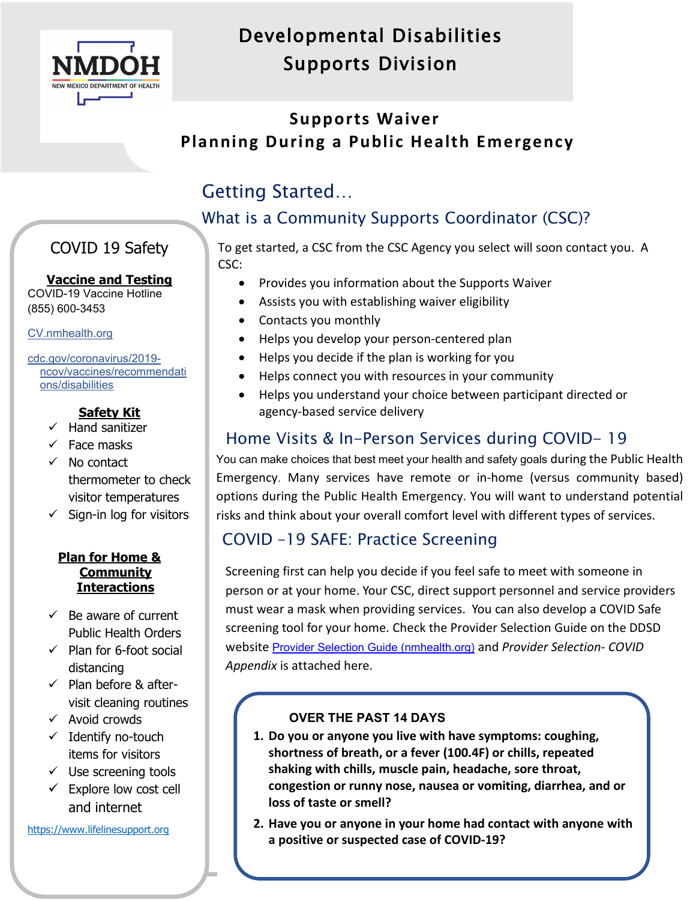

## Developmental Disabilities Supports Division

## **Supports Waiver Planning During a Public Health Emergency**

## Getting Started…

۱

## What is a Community Supports Coordinator (CSC)?

## COVID 19 Safety

#### **Vaccine and Testing**

COVID-19 Vaccine Hotline (855) 600-3453

[CV.nmhealth.org](https://cv.nmhealth.org/)

cdc.gov/coronavirus/2019 ncov/vaccines/recommendati ons/disabilities

## **Safety Kit**

- $\checkmark$  Hand sanitizer
- $\checkmark$  Face masks
- $\checkmark$  No contact thermometer to check visitor temperatures
- $\checkmark$  Sign-in log for visitors

#### **Plan for Home & Community Interactions**

- $\checkmark$  Be aware of current Public Health Orders
- $\checkmark$  Plan for 6-foot social distancing
- $\checkmark$  Plan before & aftervisit cleaning routines
- $\checkmark$  Avoid crowds
- $\checkmark$  Identify no-touch items for visitors
- $\checkmark$  Use screening tools
- $\checkmark$  Explore low cost cell and internet

[https://www.lifelinesupport.org](https://www.lifelinesupport.org/)

To get started, a CSC from the CSC Agency you select will soon contact you. A CSC:

- Provides you information about the Supports Waiver
- Assists you with establishing waiver eligibility
- Contacts you monthly
- Helps you develop your person-centered plan
- Helps you decide if the plan is working for you
- Helps connect you with resources in your community
- Helps you understand your choice between participant directed or agency-based service delivery

## Home Visits & In-Person Services during COVID- 19

You can make choices that best meet your health and safety goals during the Public Health Emergency. Many services have remote or in-home (versus community based) options during the Public Health Emergency. You will want to understand potential risks and think about your overall comfort level with different types of services.

## COVID –19 SAFE: Practice Screening

Screening first can help you decide if you feel safe to meet with someone in person or at your home. Your CSC, direct support personnel and service providers must wear a mask when providing services. You can also develop a COVID Safe screening tool for your home. Check the Provider Selection Guide on the DDSD website [Provider Selection Guide \(nmhealth.org\)](https://www.nmhealth.org/about/ddsd/pgsv/prvsel/guide/) and *Provider Selection- COVID Appendix* is attached here.

#### **OVER THE PAST 14 DAYS**

- **1. Do you or anyone you live with have symptoms: coughing, shortness of breath, or a fever (100.4F) or chills, repeated shaking with chills, muscle pain, headache, sore throat, congestion or runny nose, nausea or vomiting, diarrhea, and or loss of taste or smell?**
- **2. Have you or anyone in your home had contact with anyone with a positive or suspected case of COVID-19?**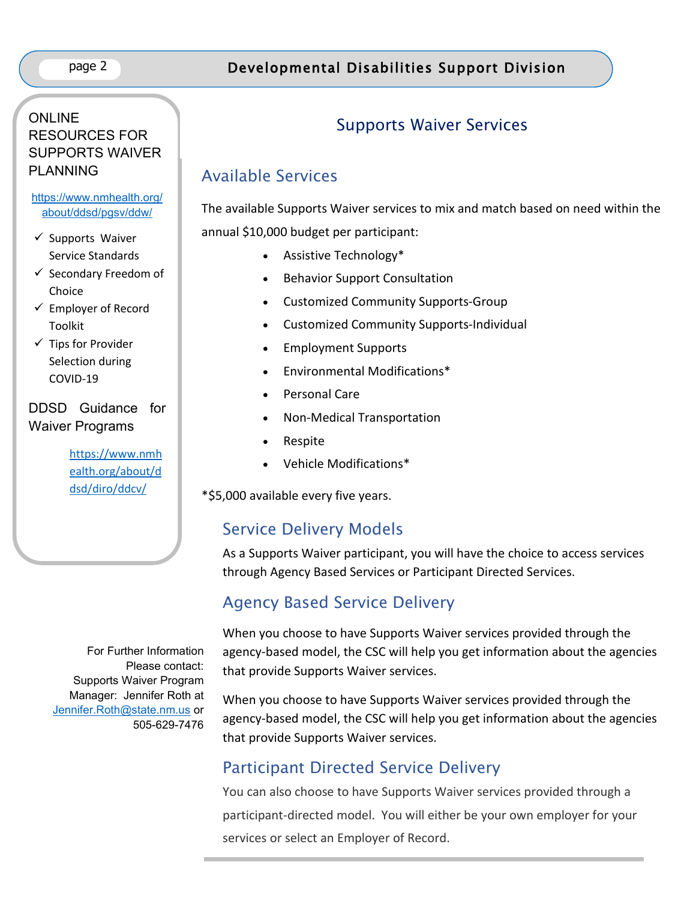#### ONLINE RESOURCES FOR SUPPORTS WAIVER PLANNING

#### [https://www.nmhealth.org/](https://www.nmhealth.org/about/ddsd/pgsv/ddw/) [about/ddsd/pgsv/ddw/](https://www.nmhealth.org/about/ddsd/pgsv/ddw/)

- $\checkmark$  Supports Waiver Service Standards
- $\checkmark$  Secondary Freedom of Choice
- $\checkmark$  Employer of Record Toolkit
- $\checkmark$  Tips for Provider Selection during COVID-19

## DDSD Guidance for Waiver Programs

[https://www.nmh](https://www.nmhealth.org/about/ddsd/diro/ddcv/) [ealth.org/about/d](https://www.nmhealth.org/about/ddsd/diro/ddcv/) [dsd/diro/ddcv/](https://www.nmhealth.org/about/ddsd/diro/ddcv/)

For Further Information Please contact: Supports Waiver Program Manager: Jennifer Roth at [Jennifer.Roth@state.nm.us](mailto:Jennifer.Roth@state.nm.us) or 505-629-7476

## Supports Waiver Services

## Available Services

The available Supports Waiver services to mix and match based on need within the annual \$10,000 budget per participant:

- Assistive Technology\*
- Behavior Support Consultation
- Customized Community Supports-Group
- Customized Community Supports-Individual
- Employment Supports
- Environmental Modifications\*
- Personal Care
- Non-Medical Transportation
- Respite
- Vehicle Modifications\*

\*\$5,000 available every five years.

## Service Delivery Models

As a Supports Waiver participant, you will have the choice to access services through Agency Based Services or Participant Directed Services.

## Agency Based Service Delivery

When you choose to have Supports Waiver services provided through the agency-based model, the CSC will help you get information about the agencies that provide Supports Waiver services.

When you choose to have Supports Waiver services provided through the agency-based model, the CSC will help you get information about the agencies that provide Supports Waiver services.

## Participant Directed Service Delivery

You can also choose to have Supports Waiver services provided through a participant-directed model. You will either be your own employer for your services or select an Employer of Record.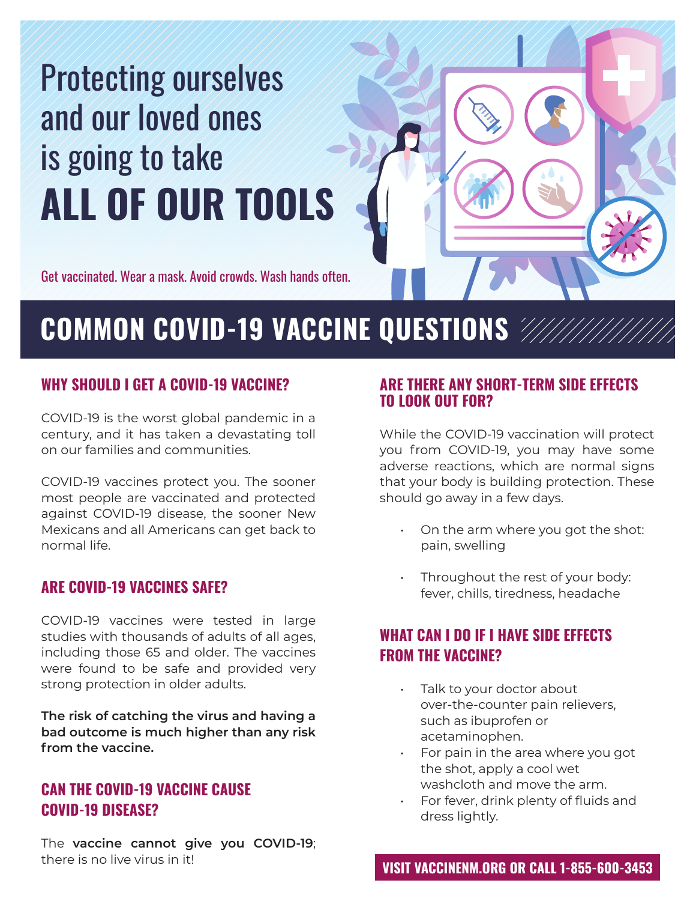# **ALL OF OUR TOOLS** Protecting ourselves and our loved ones is going to take

Get vaccinated. Wear a mask. Avoid crowds. Wash hands often.

## **COMMON COVID-19 VACCINE QUESTIONS**

## **WHY SHOULD I GET A COVID-19 VACCINE?**

COVID-19 is the worst global pandemic in a century, and it has taken a devastating toll on our families and communities.

COVID-19 vaccines protect you. The sooner most people are vaccinated and protected against COVID-19 disease, the sooner New Mexicans and all Americans can get back to normal life.

## **ARE COVID-19 VACCINES SAFE?**

COVID-19 vaccines were tested in large studies with thousands of adults of all ages, including those 65 and older. The vaccines were found to be safe and provided very strong protection in older adults.

**The risk of catching the virus and having a bad outcome is much higher than any risk from the vaccine.**

## **CAN THE COVID-19 VACCINE CAUSE COVID-19 DISEASE?**

The **vaccine cannot give you COVID-19**; there is no live virus in it!

#### **ARE THERE ANY SHORT-TERM SIDE EFFECTS TO LOOK OUT FOR?**

While the COVID-19 vaccination will protect you from COVID-19, you may have some adverse reactions, which are normal signs that your body is building protection. These should go away in a few days.

- On the arm where you got the shot: pain, swelling
- Throughout the rest of your body: fever, chills, tiredness, headache

## **WHAT CAN I DO IF I HAVE SIDE EFFECTS FROM THE VACCINE?**

- Talk to your doctor about over-the-counter pain relievers, such as ibuprofen or acetaminophen.
- For pain in the area where you got the shot, apply a cool wet washcloth and move the arm.
- For fever, drink plenty of fluids and dress lightly.

**VISIT VACCINENM.ORG OR CALL 1-855-600-3453**